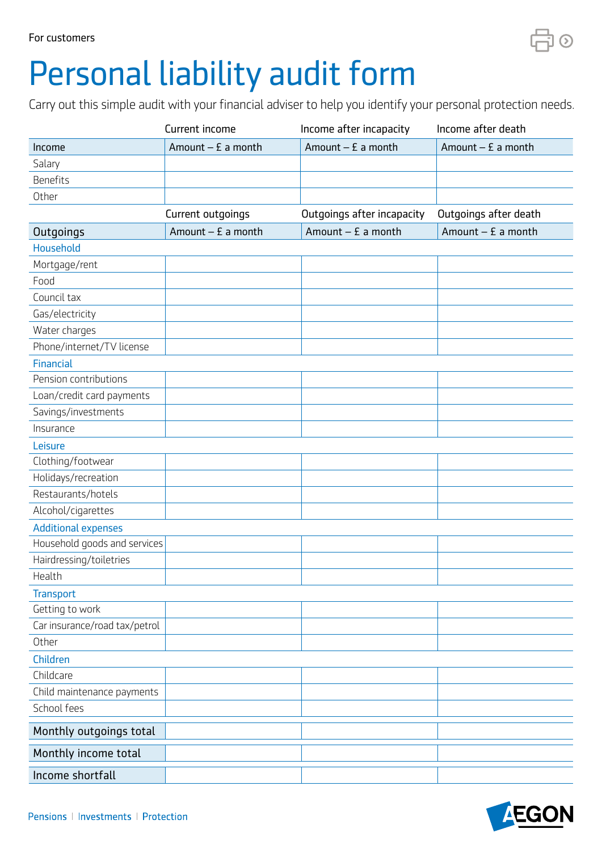## Personal liability audit form

Carry out this simple audit with your financial adviser to help you identify your personal protection needs.

|                               | Current income       | Income after incapacity    | Income after death    |
|-------------------------------|----------------------|----------------------------|-----------------------|
| Income                        | Amount $-$ £ a month | Amount $-$ £ a month       | Amount $-$ £ a month  |
| Salary                        |                      |                            |                       |
| <b>Benefits</b>               |                      |                            |                       |
| Other                         |                      |                            |                       |
|                               | Current outgoings    | Outgoings after incapacity | Outgoings after death |
| Outgoings                     | Amount $-$ £ a month | Amount $-$ £ a month       | Amount $-$ £ a month  |
| Household                     |                      |                            |                       |
| Mortgage/rent                 |                      |                            |                       |
| Food                          |                      |                            |                       |
| Council tax                   |                      |                            |                       |
| Gas/electricity               |                      |                            |                       |
| Water charges                 |                      |                            |                       |
| Phone/internet/TV license     |                      |                            |                       |
| <b>Financial</b>              |                      |                            |                       |
| Pension contributions         |                      |                            |                       |
| Loan/credit card payments     |                      |                            |                       |
| Savings/investments           |                      |                            |                       |
| Insurance                     |                      |                            |                       |
| Leisure                       |                      |                            |                       |
| Clothing/footwear             |                      |                            |                       |
| Holidays/recreation           |                      |                            |                       |
| Restaurants/hotels            |                      |                            |                       |
| Alcohol/cigarettes            |                      |                            |                       |
| <b>Additional expenses</b>    |                      |                            |                       |
| Household goods and services  |                      |                            |                       |
| Hairdressing/toiletries       |                      |                            |                       |
| Health                        |                      |                            |                       |
| <b>Transport</b>              |                      |                            |                       |
| Getting to work               |                      |                            |                       |
| Car insurance/road tax/petrol |                      |                            |                       |
| Other                         |                      |                            |                       |
| Children                      |                      |                            |                       |
| Childcare                     |                      |                            |                       |
| Child maintenance payments    |                      |                            |                       |
| School fees                   |                      |                            |                       |
| Monthly outgoings total       |                      |                            |                       |
| Monthly income total          |                      |                            |                       |
| Income shortfall              |                      |                            |                       |